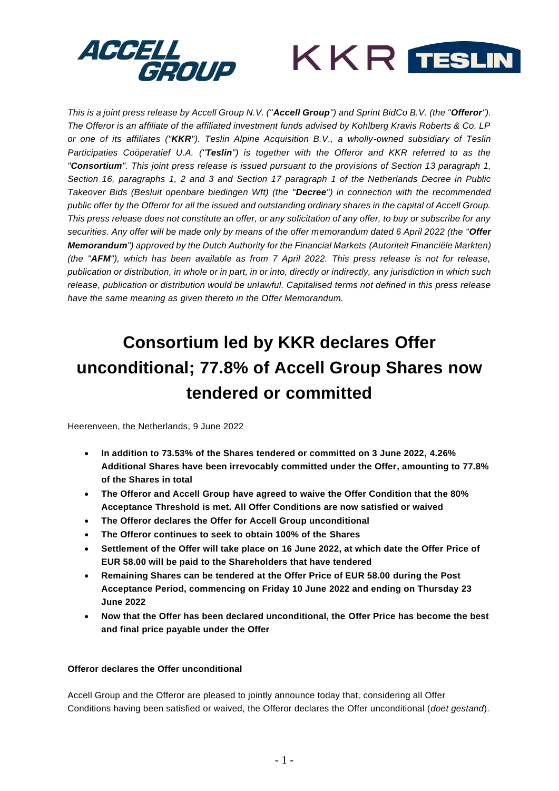



*This is a joint press release by Accell Group N.V. ("Accell Group") and Sprint BidCo B.V. (the "Offeror"). The Offeror is an affiliate of the affiliated investment funds advised by Kohlberg Kravis Roberts & Co. LP or one of its affiliates ("KKR"). Teslin Alpine Acquisition B.V., a wholly-owned subsidiary of Teslin Participaties Coöperatief U.A. ("Teslin") is together with the Offeror and KKR referred to as the "Consortium". This joint press release is issued pursuant to the provisions of Section 13 paragraph 1, Section 16, paragraphs 1, 2 and 3 and Section 17 paragraph 1 of the Netherlands Decree in Public Takeover Bids (Besluit openbare biedingen Wft) (the "Decree") in connection with the recommended public offer by the Offeror for all the issued and outstanding ordinary shares in the capital of Accell Group. This press release does not constitute an offer, or any solicitation of any offer, to buy or subscribe for any securities. Any offer will be made only by means of the offer memorandum dated 6 April 2022 (the "Offer Memorandum") approved by the Dutch Authority for the Financial Markets (Autoriteit Financiële Markten) (the "AFM"), which has been available as from 7 April 2022. This press release is not for release, publication or distribution, in whole or in part, in or into, directly or indirectly, any jurisdiction in which such release, publication or distribution would be unlawful. Capitalised terms not defined in this press release have the same meaning as given thereto in the Offer Memorandum.*

# **Consortium led by KKR declares Offer unconditional; 77.8% of Accell Group Shares now tendered or committed**

Heerenveen, the Netherlands, 9 June 2022

- **In addition to 73.53% of the Shares tendered or committed on 3 June 2022, 4.26% Additional Shares have been irrevocably committed under the Offer, amounting to 77.8% of the Shares in total**
- **The Offeror and Accell Group have agreed to waive the Offer Condition that the 80% Acceptance Threshold is met. All Offer Conditions are now satisfied or waived**
- **The Offeror declares the Offer for Accell Group unconditional**
- **The Offeror continues to seek to obtain 100% of the Shares**
- **Settlement of the Offer will take place on 16 June 2022, at which date the Offer Price of EUR 58.00 will be paid to the Shareholders that have tendered**
- **Remaining Shares can be tendered at the Offer Price of EUR 58.00 during the Post Acceptance Period, commencing on Friday 10 June 2022 and ending on Thursday 23 June 2022**
- **Now that the Offer has been declared unconditional, the Offer Price has become the best and final price payable under the Offer**

## **Offeror declares the Offer unconditional**

Accell Group and the Offeror are pleased to jointly announce today that, considering all Offer Conditions having been satisfied or waived, the Offeror declares the Offer unconditional (*doet gestand*).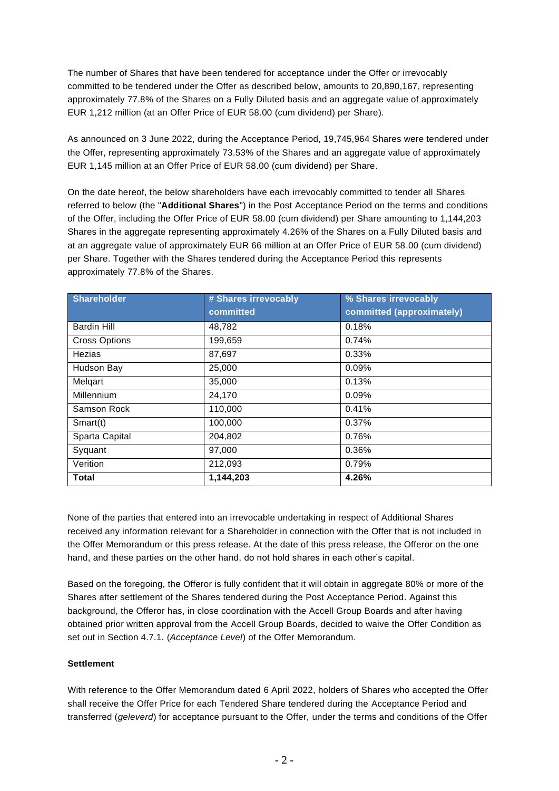The number of Shares that have been tendered for acceptance under the Offer or irrevocably committed to be tendered under the Offer as described below, amounts to 20,890,167, representing approximately 77.8% of the Shares on a Fully Diluted basis and an aggregate value of approximately EUR 1,212 million (at an Offer Price of EUR 58.00 (cum dividend) per Share).

As announced on 3 June 2022, during the Acceptance Period, 19,745,964 Shares were tendered under the Offer, representing approximately 73.53% of the Shares and an aggregate value of approximately EUR 1,145 million at an Offer Price of EUR 58.00 (cum dividend) per Share.

On the date hereof, the below shareholders have each irrevocably committed to tender all Shares referred to below (the "**Additional Shares**") in the Post Acceptance Period on the terms and conditions of the Offer, including the Offer Price of EUR 58.00 (cum dividend) per Share amounting to 1,144,203 Shares in the aggregate representing approximately 4.26% of the Shares on a Fully Diluted basis and at an aggregate value of approximately EUR 66 million at an Offer Price of EUR 58.00 (cum dividend) per Share. Together with the Shares tendered during the Acceptance Period this represents approximately 77.8% of the Shares.

| <b>Shareholder</b>   | # Shares irrevocably | % Shares irrevocably      |
|----------------------|----------------------|---------------------------|
|                      | committed            | committed (approximately) |
| <b>Bardin Hill</b>   | 48,782               | 0.18%                     |
| <b>Cross Options</b> | 199,659              | 0.74%                     |
| Hezias               | 87,697               | 0.33%                     |
| Hudson Bay           | 25,000               | 0.09%                     |
| Melgart              | 35,000               | 0.13%                     |
| Millennium           | 24,170               | 0.09%                     |
| Samson Rock          | 110,000              | 0.41%                     |
| Smart(t)             | 100,000              | 0.37%                     |
| Sparta Capital       | 204,802              | 0.76%                     |
| Syquant              | 97,000               | 0.36%                     |
| Verition             | 212,093              | 0.79%                     |
| <b>Total</b>         | 1,144,203            | 4.26%                     |

None of the parties that entered into an irrevocable undertaking in respect of Additional Shares received any information relevant for a Shareholder in connection with the Offer that is not included in the Offer Memorandum or this press release. At the date of this press release, the Offeror on the one hand, and these parties on the other hand, do not hold shares in each other's capital.

Based on the foregoing, the Offeror is fully confident that it will obtain in aggregate 80% or more of the Shares after settlement of the Shares tendered during the Post Acceptance Period. Against this background, the Offeror has, in close coordination with the Accell Group Boards and after having obtained prior written approval from the Accell Group Boards, decided to waive the Offer Condition as set out in Section 4.7.1. (*Acceptance Level*) of the Offer Memorandum.

## **Settlement**

With reference to the Offer Memorandum dated 6 April 2022, holders of Shares who accepted the Offer shall receive the Offer Price for each Tendered Share tendered during the Acceptance Period and transferred (*geleverd*) for acceptance pursuant to the Offer, under the terms and conditions of the Offer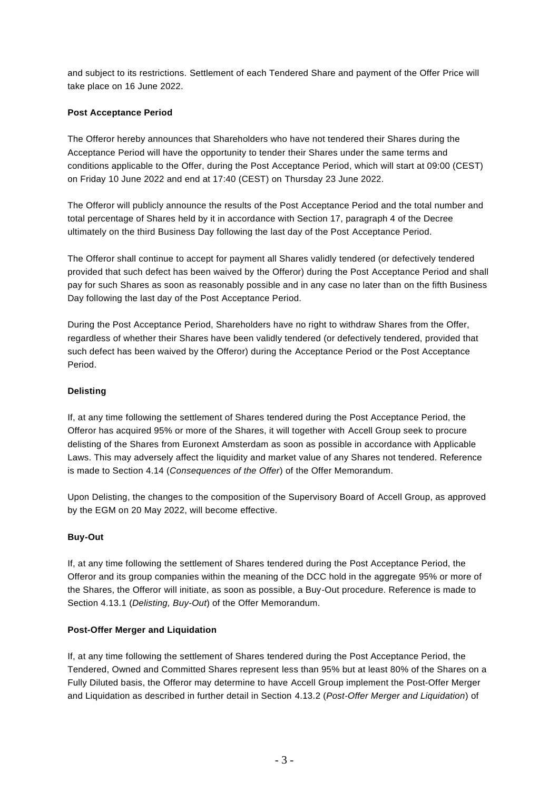and subject to its restrictions. Settlement of each Tendered Share and payment of the Offer Price will take place on 16 June 2022.

## **Post Acceptance Period**

The Offeror hereby announces that Shareholders who have not tendered their Shares during the Acceptance Period will have the opportunity to tender their Shares under the same terms and conditions applicable to the Offer, during the Post Acceptance Period, which will start at 09:00 (CEST) on Friday 10 June 2022 and end at 17:40 (CEST) on Thursday 23 June 2022.

The Offeror will publicly announce the results of the Post Acceptance Period and the total number and total percentage of Shares held by it in accordance with Section 17, paragraph 4 of the Decree ultimately on the third Business Day following the last day of the Post Acceptance Period.

The Offeror shall continue to accept for payment all Shares validly tendered (or defectively tendered provided that such defect has been waived by the Offeror) during the Post Acceptance Period and shall pay for such Shares as soon as reasonably possible and in any case no later than on the fifth Business Day following the last day of the Post Acceptance Period.

During the Post Acceptance Period, Shareholders have no right to withdraw Shares from the Offer, regardless of whether their Shares have been validly tendered (or defectively tendered, provided that such defect has been waived by the Offeror) during the Acceptance Period or the Post Acceptance Period.

# **Delisting**

If, at any time following the settlement of Shares tendered during the Post Acceptance Period, the Offeror has acquired 95% or more of the Shares, it will together with Accell Group seek to procure delisting of the Shares from Euronext Amsterdam as soon as possible in accordance with Applicable Laws. This may adversely affect the liquidity and market value of any Shares not tendered. Reference is made to Section 4.14 (*Consequences of the Offer*) of the Offer Memorandum.

Upon Delisting, the changes to the composition of the Supervisory Board of Accell Group, as approved by the EGM on 20 May 2022, will become effective.

# **Buy-Out**

If, at any time following the settlement of Shares tendered during the Post Acceptance Period, the Offeror and its group companies within the meaning of the DCC hold in the aggregate 95% or more of the Shares, the Offeror will initiate, as soon as possible, a Buy-Out procedure. Reference is made to Section 4.13.1 (*Delisting, Buy-Out*) of the Offer Memorandum.

## **Post-Offer Merger and Liquidation**

If, at any time following the settlement of Shares tendered during the Post Acceptance Period, the Tendered, Owned and Committed Shares represent less than 95% but at least 80% of the Shares on a Fully Diluted basis, the Offeror may determine to have Accell Group implement the Post-Offer Merger and Liquidation as described in further detail in Section 4.13.2 (*Post-Offer Merger and Liquidation*) of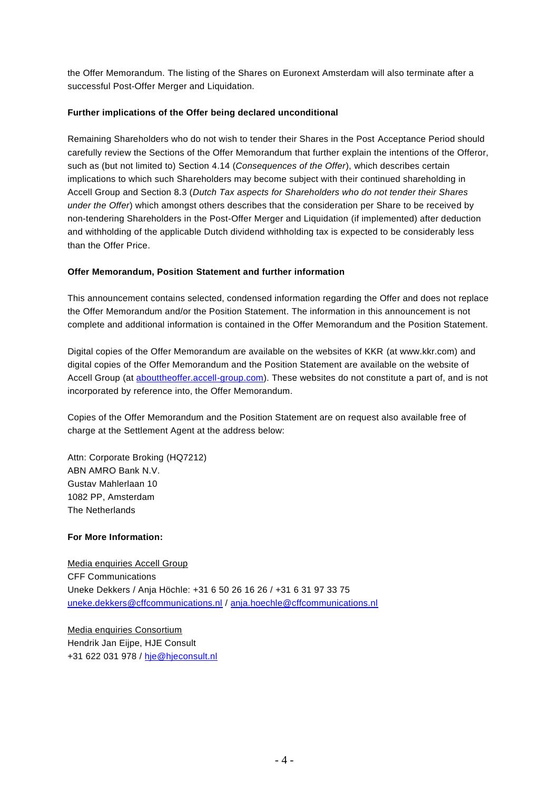the Offer Memorandum. The listing of the Shares on Euronext Amsterdam will also terminate after a successful Post-Offer Merger and Liquidation.

## **Further implications of the Offer being declared unconditional**

Remaining Shareholders who do not wish to tender their Shares in the Post Acceptance Period should carefully review the Sections of the Offer Memorandum that further explain the intentions of the Offeror, such as (but not limited to) Section 4.14 (*Consequences of the Offer*), which describes certain implications to which such Shareholders may become subject with their continued shareholding in Accell Group and Section 8.3 (*Dutch Tax aspects for Shareholders who do not tender their Shares under the Offer*) which amongst others describes that the consideration per Share to be received by non-tendering Shareholders in the Post-Offer Merger and Liquidation (if implemented) after deduction and withholding of the applicable Dutch dividend withholding tax is expected to be considerably less than the Offer Price.

## **Offer Memorandum, Position Statement and further information**

This announcement contains selected, condensed information regarding the Offer and does not replace the Offer Memorandum and/or the Position Statement. The information in this announcement is not complete and additional information is contained in the Offer Memorandum and the Position Statement.

Digital copies of the Offer Memorandum are available on the websites of KKR (at www.kkr.com) and digital copies of the Offer Memorandum and the Position Statement are available on the website of Accell Group (at [abouttheoffer.accell-group.com\)](https://abouttheoffer.accell-group.com/en/public_offer.html). These websites do not constitute a part of, and is not incorporated by reference into, the Offer Memorandum.

Copies of the Offer Memorandum and the Position Statement are on request also available free of charge at the Settlement Agent at the address below:

Attn: Corporate Broking (HQ7212) ABN AMRO Bank N.V. Gustav Mahlerlaan 10 1082 PP, Amsterdam The Netherlands

## **For More Information:**

Media enquiries Accell Group CFF Communications Uneke Dekkers / Anja Höchle: +31 6 50 26 16 26 / +31 6 31 97 33 75 [uneke.dekkers@cffcommunications.nl](mailto:uneke.dekkers@cffcommunications.nl) / [anja.hoechle@cffcommunications.nl](mailto:anja.hoechle@cffcommunications.nl)

Media enquiries Consortium Hendrik Jan Eijpe, HJE Consult +31 622 031 978 / [hje@hjeconsult.nl](mailto:hje@hjeconsult.nl)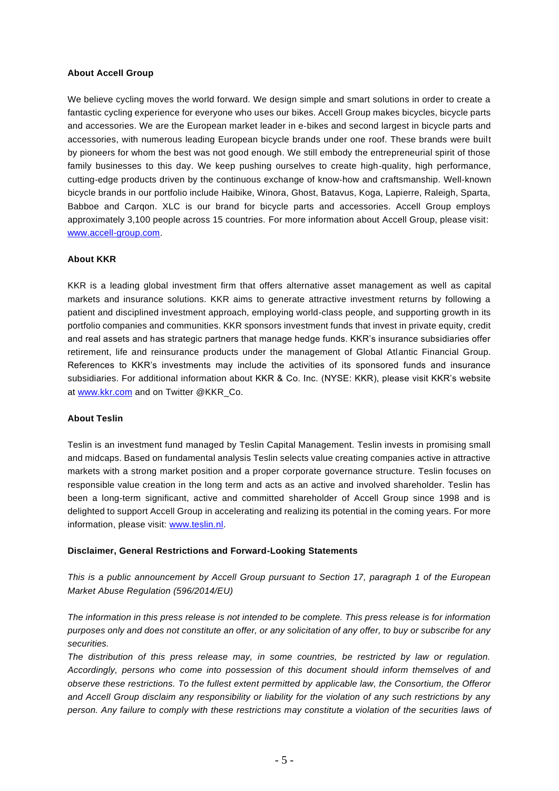#### **About Accell Group**

We believe cycling moves the world forward. We design simple and smart solutions in order to create a fantastic cycling experience for everyone who uses our bikes. Accell Group makes bicycles, bicycle parts and accessories. We are the European market leader in e‐bikes and second largest in bicycle parts and accessories, with numerous leading European bicycle brands under one roof. These brands were built by pioneers for whom the best was not good enough. We still embody the entrepreneurial spirit of those family businesses to this day. We keep pushing ourselves to create high-quality, high performance, cutting‐edge products driven by the continuous exchange of know‐how and craftsmanship. Well‐known bicycle brands in our portfolio include Haibike, Winora, Ghost, Batavus, Koga, Lapierre, Raleigh, Sparta, Babboe and Carqon. XLC is our brand for bicycle parts and accessories. Accell Group employs approximately 3,100 people across 15 countries. For more information about Accell Group, please visit: [www.accell-group.com.](http://www.accell-group.com/)

#### **About KKR**

KKR is a leading global investment firm that offers alternative asset management as well as capital markets and insurance solutions. KKR aims to generate attractive investment returns by following a patient and disciplined investment approach, employing world-class people, and supporting growth in its portfolio companies and communities. KKR sponsors investment funds that invest in private equity, credit and real assets and has strategic partners that manage hedge funds. KKR's insurance subsidiaries offer retirement, life and reinsurance products under the management of Global Atlantic Financial Group. References to KKR's investments may include the activities of its sponsored funds and insurance subsidiaries. For additional information about KKR & Co. Inc. (NYSE: KKR), please visit KKR's website at [www.kkr.com](https://cts.businesswire.com/ct/CT?id=smartlink&url=http%3A%2F%2Fwww.kkr.com&esheet=52556806&newsitemid=20220103005354&lan=en-US&anchor=www.kkr.com&index=1&md5=f2801c6375742f0f9aa380c73a980104) and on Twitter @KKR\_Co.

#### **About Teslin**

Teslin is an investment fund managed by Teslin Capital Management. Teslin invests in promising small and midcaps. Based on fundamental analysis Teslin selects value creating companies active in attractive markets with a strong market position and a proper corporate governance structure. Teslin focuses on responsible value creation in the long term and acts as an active and involved shareholder. Teslin has been a long-term significant, active and committed shareholder of Accell Group since 1998 and is delighted to support Accell Group in accelerating and realizing its potential in the coming years. For more information, please visit: [www.teslin.nl.](http://www.teslin.nl/)

#### **Disclaimer, General Restrictions and Forward-Looking Statements**

*This is a public announcement by Accell Group pursuant to Section 17, paragraph 1 of the European Market Abuse Regulation (596/2014/EU)*

*The information in this press release is not intended to be complete. This press release is for information purposes only and does not constitute an offer, or any solicitation of any offer, to buy or subscribe for any securities.* 

*The distribution of this press release may, in some countries, be restricted by law or regulation. Accordingly, persons who come into possession of this document should inform themselves of and observe these restrictions. To the fullest extent permitted by applicable law, the Consortium, the Offeror and Accell Group disclaim any responsibility or liability for the violation of any such restrictions by any person. Any failure to comply with these restrictions may constitute a violation of the securities laws of*